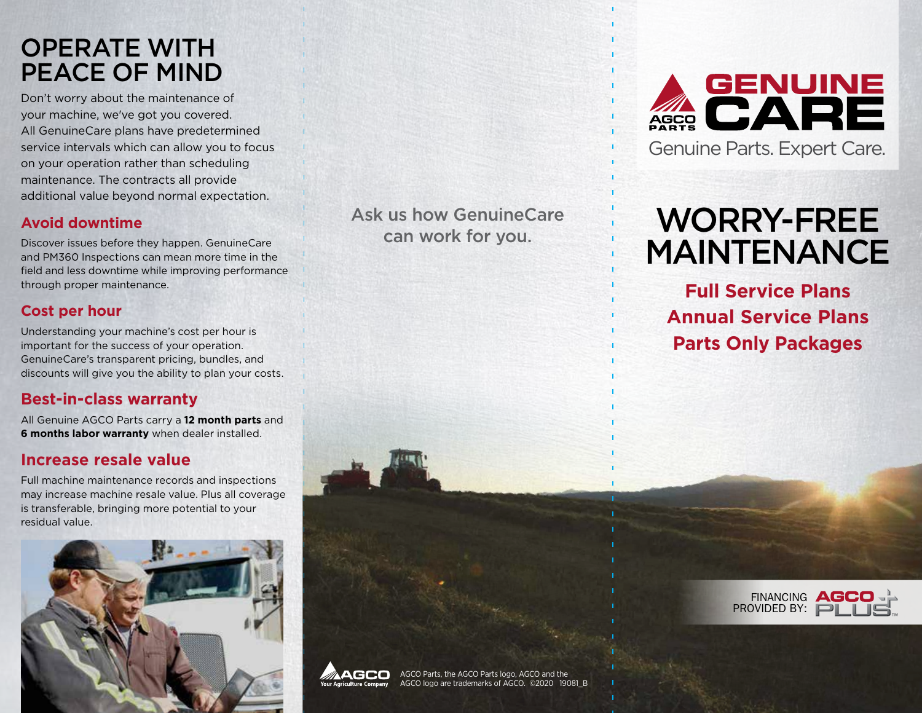# OPERATE WITH PEACE OF MIND

Don't worry about the maintenance of your machine, we've got you covered. All GenuineCare plans have predetermined service intervals which can allow you to focus on your operation rather than scheduling maintenance. The contracts all provide additional value beyond normal expectation.

### **Avoid downtime**

Discover issues before they happen. GenuineCare and PM360 Inspections can mean more time in the field and less downtime while improving performance through proper maintenance.

## **Cost per hour**

Understanding your machine's cost per hour is important for the success of your operation. GenuineCare's transparent pricing, bundles, and discounts will give you the ability to plan your costs.

## **Best-in-class warranty**

All Genuine AGCO Parts carry a **12 month parts** and **6 months labor warranty** when dealer installed.

### **Increase resale value**

Full machine maintenance records and inspections may increase machine resale value. Plus all coverage is transferable, bringing more potential to your residual value.



Ask us how GenuineCare can work for you.



# WORRY-FREE MAINTENANCE

**Full Service Plans Annual Service Plans Parts Only Packages**





AGCO Parts, the AGCO Parts logo, AGCO and the AGCO logo are trademarks of AGCO. ©2020 19081\_B